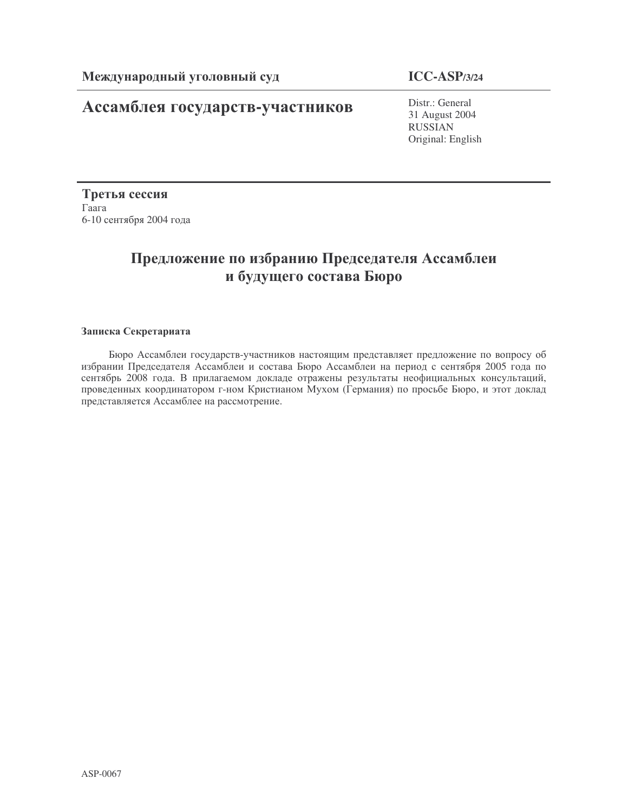## **Ассамблея государств-участников** Distr.: General

31 August 2004 RUSSIAN Original: English

Третья сессия  $\Gamma$ aara 6-10 сентября 2004 года

## Предложение по избранию Председателя Ассамблеи и будущего состава Бюро

## Записка Секретариата

Бюро Ассамблеи государств-участников настоящим представляет предложение по вопросу об избрании Председателя Ассамблеи и состава Бюро Ассамблеи на период с сентября 2005 года по сентябрь 2008 года. В прилагаемом докладе отражены результаты неофициальных консультаций, проведенных координатором г-ном Кристианом Мухом (Германия) по просьбе Бюро, и этот доклад представляется Ассамблее на рассмотрение.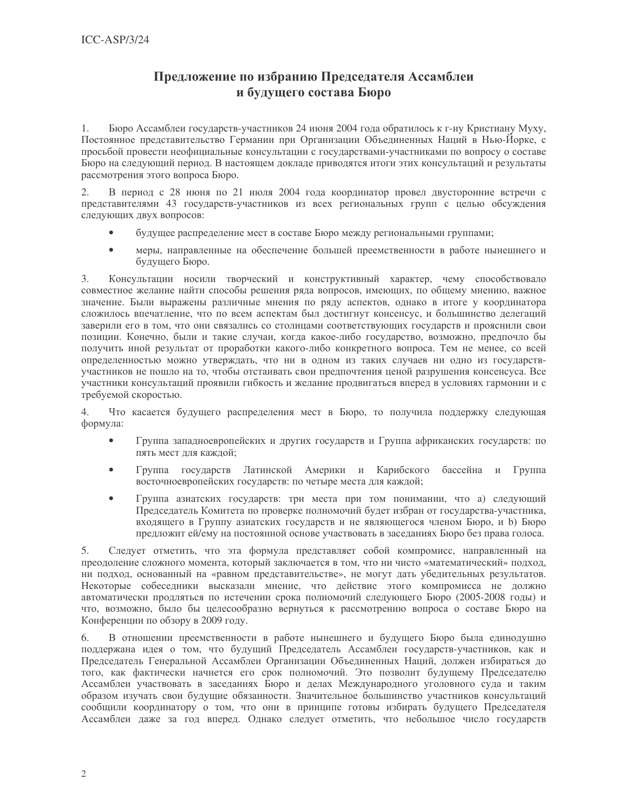## Предложение по избранию Председателя Ассамблеи и будущего состава Бюро

 $1.$ Бюро Ассамблеи государств-участников 24 июня 2004 года обратилось к г-ну Кристиану Муху, Постоянное представительство Германии при Организации Объединенных Наций в Нью-Йорке, с просьбой провести неофициальные консультации с государствами-участниками по вопросу о составе Бюро на следующий период. В настоящем докладе приводятся итоги этих консультаций и результаты рассмотрения этого вопроса Бюро.

 $\overline{2}$ . В период с 28 июня по 21 июля 2004 года координатор провел двусторонние встречи с представителями 43 государств-участников из всех региональных групп с целью обсуждения следующих двух вопросов:

- будущее распределение мест в составе Бюро между региональными группами;
- $\bullet$ меры, направленные на обеспечение большей преемственности в работе нынешнего и будущего Бюро.

 $3.$ Консультации носили творческий и конструктивный характер, чему способствовало совместное желание найти способы решения ряда вопросов, имеющих, по общему мнению, важное значение. Были выражены различные мнения по ряду аспектов, однако в итоге у координатора сложилось впечатление, что по всем аспектам был достигнут консенсус, и большинство делегаций заверили его в том, что они связались со столицами соответствующих государств и прояснили свои позиции. Конечно, были и такие случаи, когда какое-либо государство, возможно, предпочло бы получить иной результат от проработки какого-либо конкретного вопроса. Тем не менее, со всей определенностью можно утверждать, что ни в одном из таких случаев ни одно из государствучастников не пошло на то, чтобы отстаивать свои предпочтения ценой разрушения консенсуса. Все участники консультаций проявили гибкость и желание продвигаться вперед в условиях гармонии и с требуемой скоростью.

Что касается будущего распределения мест в Бюро, то получила поддержку следующая 4. формула:

- $\bullet$ Группа западноевропейских и других государств и Группа африканских государств: по пять мест для каждой;
- Группа государств Латинской Америки и Карибского бассейна и Группа  $\bullet$ восточноевропейских государств: по четыре места для каждой;
- $\bullet$ Группа азиатских государств: три места при том понимании, что а) следующий Председатель Комитета по проверке полномочий будет избран от государства-участника, входящего в Группу азиатских государств и не являющегося членом Бюро, и b) Бюро предложит ей/ему на постоянной основе участвовать в заседаниях Бюро без права голоса.

5. Следует отметить, что эта формула представляет собой компромисс, направленный на преодоление сложного момента, который заключается в том, что ни чисто «математический» подход, ни подход, основанный на «равном представительстве», не могут дать убедительных результатов. Некоторые собеседники высказали мнение, что действие этого компромисса не должно автоматически продляться по истечении срока полномочий следующего Бюро (2005-2008 годы) и что, возможно, было бы целесообразно вернуться к рассмотрению вопроса о составе Бюро на Конференции по обзору в 2009 году.

6. В отношении преемственности в работе нынешнего и будущего Бюро была единодушно поддержана идея о том, что будущий Председатель Ассамблеи государств-участников, как и Председатель Генеральной Ассамблеи Организации Объединенных Наций, должен избираться до того, как фактически начнется его срок полномочий. Это позволит будущему Председателю Ассамблеи участвовать в заседаниях Бюро и делах Международного уголовного суда и таким образом изучать свои будущие обязанности. Значительное большинство участников консультаций сообщили координатору о том, что они в принципе готовы избирать будущего Председателя Ассамблеи даже за год вперед. Однако следует отметить, что небольшое число государств